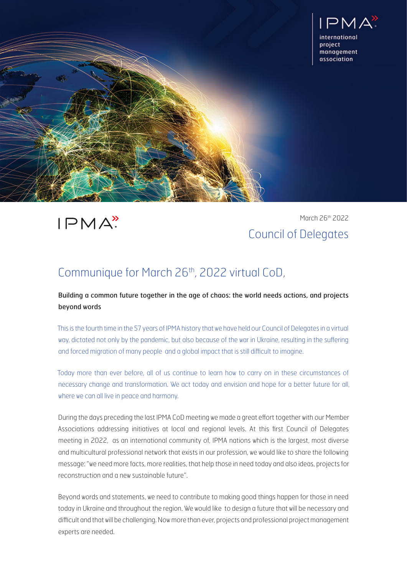

 $IPMA$ 

March 26th 2022 Council of Delegates

## Communique for March 26th, 2022 virtual CoD,

Building a common future together in the age of chaos: the world needs actions, and projects beyond words

This is the fourth time in the 57 years of IPMA history that we have held our Council of Delegates in a virtual way, dictated not only by the pandemic, but also because of the war in Ukraine, resulting in the suffering and forced migration of many people and a global impact that is still difficult to imagine.

Today more than ever before, all of us continue to learn how to carry on in these circumstances of necessary change and transformation. We act today and envision and hope for a better future for all, where we can all live in peace and harmony.

During the days preceding the last IPMA CoD meeting we made a great effort together with our Member Associations addressing initiatives at local and regional levels. At this first Council of Delegates meeting in 2022, as an international community of, IPMA nations which is the largest, most diverse and multicultural professional network that exists in our profession, we would like to share the following message: "we need more facts, more realities, that help those in need today and also ideas, projects for reconstruction and a new sustainable future".

Beyond words and statements, we need to contribute to making good things happen for those in need today in Ukraine and throughout the region. We would like to design a future that will be necessary and difficult and that will be challenging. Now more than ever, projects and professional project management experts are needed.